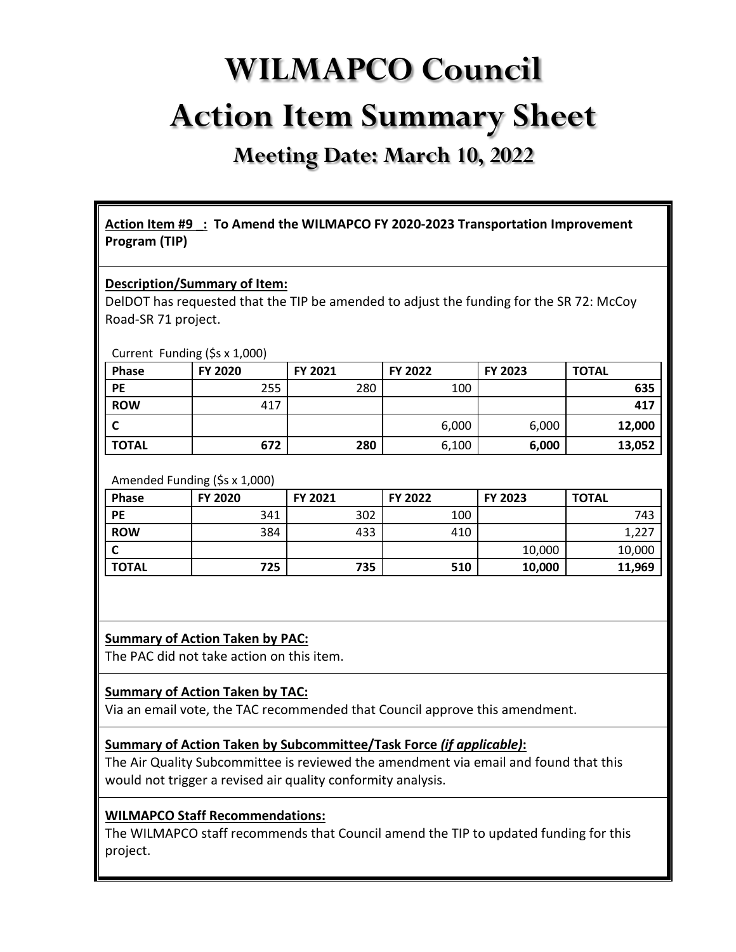# **WILMAPCO Council Action Item Summary Sheet**

**Meeting Date: March 10, 2022**

**Action Item #9 \_: To Amend the WILMAPCO FY 2020-2023 Transportation Improvement Program (TIP)**

#### **Description/Summary of Item:**

DelDOT has requested that the TIP be amended to adjust the funding for the SR 72: McCoy Road-SR 71 project.

#### Current Funding (\$s x 1,000)

| <b>Phase</b> | FY 2020 | FY 2021 | FY 2022 | FY 2023 | <b>TOTAL</b> |
|--------------|---------|---------|---------|---------|--------------|
| PE           | 255     | 280     | 100     |         | 635          |
| <b>ROW</b>   | 417     |         |         |         | 417          |
| r            |         |         | 6,000   | 6,000   | 12,000       |
| <b>TOTAL</b> | 672     | 280     | 6,100   | 6,000   | 13,052       |

#### Amended Funding (\$s x 1,000)

| Phase        | FY 2020 | FY 2021 | FY 2022 | FY 2023 | <b>TOTAL</b> |
|--------------|---------|---------|---------|---------|--------------|
| PE           | 341     | 302     | 100     |         | 743          |
| <b>ROW</b>   | 384     | 433     | 410     |         | 1,227        |
|              |         |         |         | 10,000  | 10,000       |
| <b>TOTAL</b> | 725     | 735     | 510     | 10,000  | 11,969       |

## **Summary of Action Taken by PAC:**

The PAC did not take action on this item.

#### **Summary of Action Taken by TAC:**

Via an email vote, the TAC recommended that Council approve this amendment.

#### **Summary of Action Taken by Subcommittee/Task Force** *(if applicable)***:**

The Air Quality Subcommittee is reviewed the amendment via email and found that this would not trigger a revised air quality conformity analysis.

## **WILMAPCO Staff Recommendations:**

The WILMAPCO staff recommends that Council amend the TIP to updated funding for this project.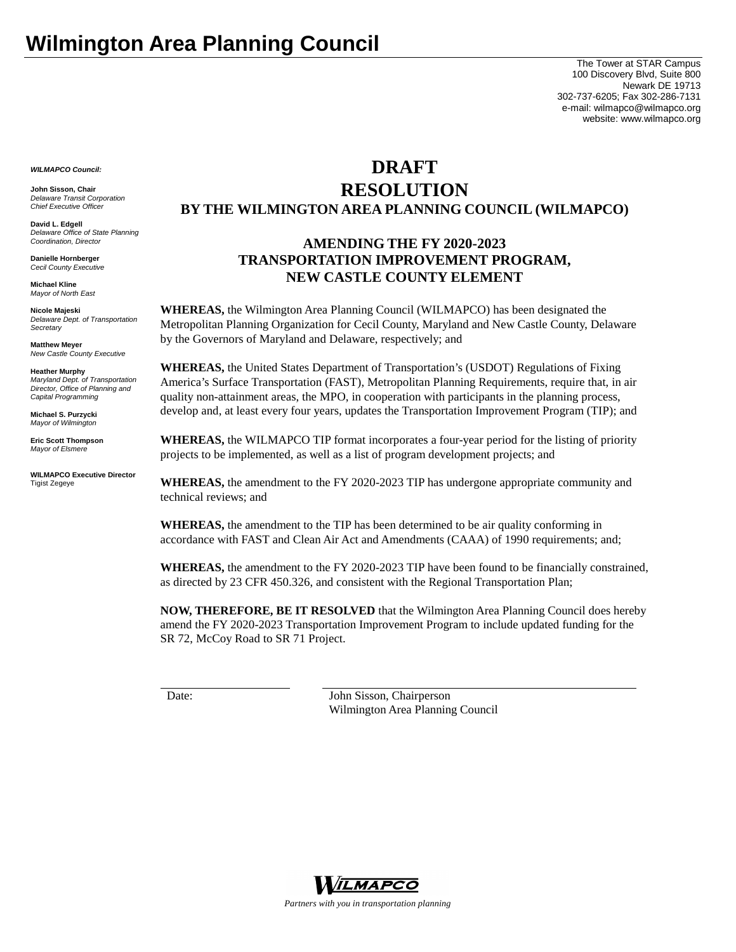The Tower at STAR Campus 100 Discovery Blvd, Suite 800 Newark DE 19713 302-737-6205; Fax 302-286-7131 e-mail: wilmapco@wilmapco.org website: www.wilmapco.org

*WILMAPCO Council:*

**John Sisson, Chair** *Delaware Transit Corporation Chief Executive Officer*

**David L. Edgell** *Delaware Office of State Planning Coordination, Director*

**Danielle Hornberger** *Cecil County Executive*

**Michael Kline** *Mayor of North East* 

**Nicole Majeski** *Delaware Dept. of Transportation Secretary*

**Matthew Meyer** *New Castle County Executive*

**Heather Murphy** *Maryland Dept. of Transportation Director, Office of Planning and Capital Programming* 

**Michael S. Purzycki** *Mayor of Wilmington*

**Eric Scott Thompson** *Mayor of Elsmere*

**WILMAPCO Executive Director** Tigist Zegeye

## **DRAFT**

# **RESOLUTION BY THE WILMINGTON AREA PLANNING COUNCIL (WILMAPCO)**

## **AMENDING THE FY 2020-2023 TRANSPORTATION IMPROVEMENT PROGRAM, NEW CASTLE COUNTY ELEMENT**

**WHEREAS,** the Wilmington Area Planning Council (WILMAPCO) has been designated the Metropolitan Planning Organization for Cecil County, Maryland and New Castle County, Delaware by the Governors of Maryland and Delaware, respectively; and

**WHEREAS,** the United States Department of Transportation's (USDOT) Regulations of Fixing America's Surface Transportation (FAST), Metropolitan Planning Requirements, require that, in air quality non-attainment areas, the MPO, in cooperation with participants in the planning process, develop and, at least every four years, updates the Transportation Improvement Program (TIP); and

**WHEREAS,** the WILMAPCO TIP format incorporates a four-year period for the listing of priority projects to be implemented, as well as a list of program development projects; and

**WHEREAS,** the amendment to the FY 2020-2023 TIP has undergone appropriate community and technical reviews; and

**WHEREAS,** the amendment to the TIP has been determined to be air quality conforming in accordance with FAST and Clean Air Act and Amendments (CAAA) of 1990 requirements; and;

**WHEREAS,** the amendment to the FY 2020-2023 TIP have been found to be financially constrained, as directed by 23 CFR 450.326, and consistent with the Regional Transportation Plan;

**NOW, THEREFORE, BE IT RESOLVED** that the Wilmington Area Planning Council does hereby amend the FY 2020-2023 Transportation Improvement Program to include updated funding for the SR 72, McCoy Road to SR 71 Project.

Date: John Sisson, Chairperson Wilmington Area Planning Council

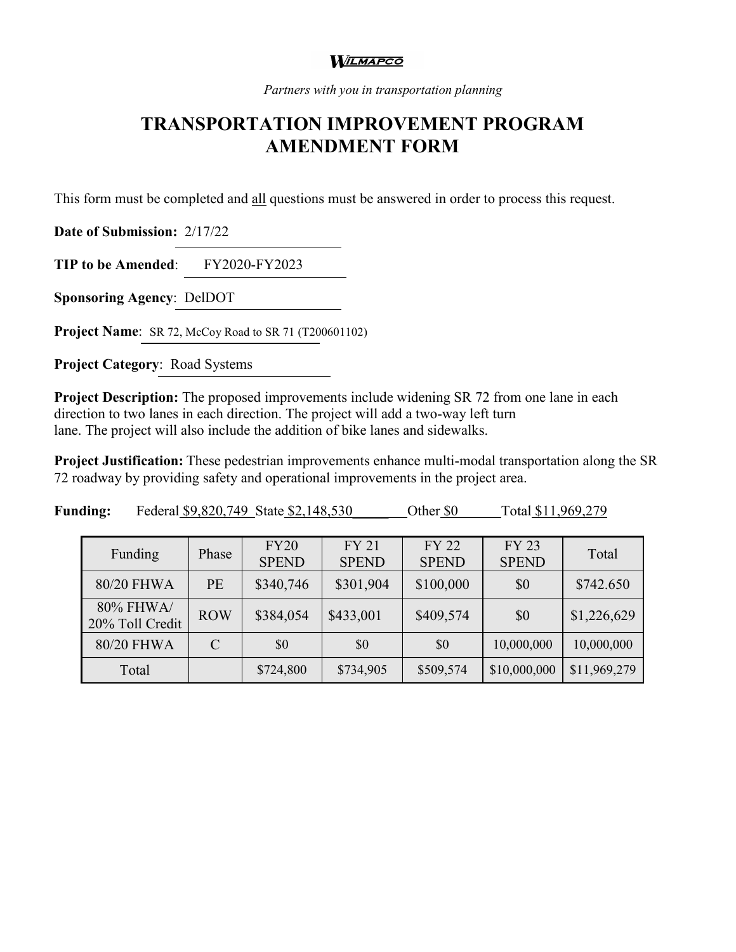#### **WILMAPCO**

*Partners with you in transportation planning*

# **TRANSPORTATION IMPROVEMENT PROGRAM AMENDMENT FORM**

This form must be completed and all questions must be answered in order to process this request.

**Date of Submission:** 2/17/22

**TIP to be Amended**: FY2020-FY2023

**Sponsoring Agency**: DelDOT

**Project Name:** SR 72, McCoy Road to SR 71 (T200601102)

**Project Category**: Road Systems

**Project Description:** The proposed improvements include widening SR 72 from one lane in each direction to two lanes in each direction. The project will add a two-way left turn lane. The project will also include the addition of bike lanes and sidewalks.

**Project Justification:** These pedestrian improvements enhance multi-modal transportation along the SR 72 roadway by providing safety and operational improvements in the project area.

| Funding                      | Phase         | FY20<br><b>SPEND</b> | <b>FY 21</b><br><b>SPEND</b> | <b>FY 22</b><br><b>SPEND</b> | <b>FY 23</b><br><b>SPEND</b> | Total        |
|------------------------------|---------------|----------------------|------------------------------|------------------------------|------------------------------|--------------|
| 80/20 FHWA                   | PE            | \$340,746            | \$301,904                    | \$100,000                    | \$0                          | \$742.650    |
| 80% FHWA/<br>20% Toll Credit | <b>ROW</b>    | \$384,054            | \$433,001                    | \$409,574                    | \$0                          | \$1,226,629  |
| 80/20 FHWA                   | $\mathcal{C}$ | \$0                  | \$0                          | \$0                          | 10,000,000                   | 10,000,000   |
| Total                        |               | \$724,800            | \$734,905                    | \$509,574                    | \$10,000,000                 | \$11,969,279 |

**Funding:** Federal \$9,820,749 State \$2,148,530 Other \$0 Total \$11,969,279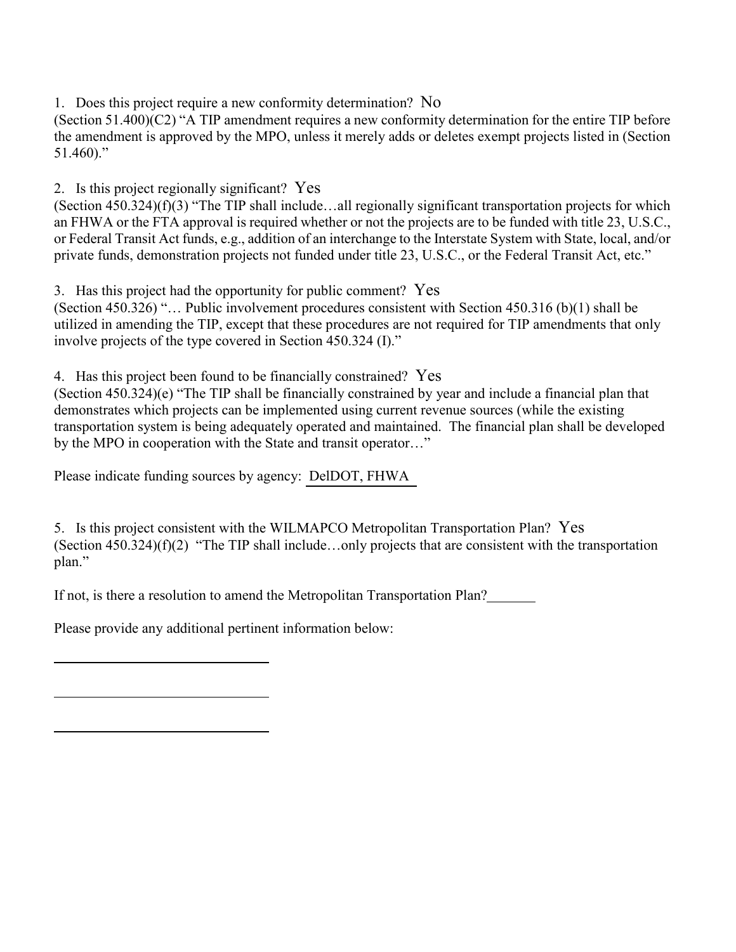1. Does this project require a new conformity determination? No

(Section 51.400)(C2) "A TIP amendment requires a new conformity determination for the entire TIP before the amendment is approved by the MPO, unless it merely adds or deletes exempt projects listed in (Section  $51.460$ ."

2. Is this project regionally significant? Yes

(Section 450.324)(f)(3) "The TIP shall include…all regionally significant transportation projects for which an FHWA or the FTA approval is required whether or not the projects are to be funded with title 23, U.S.C., or Federal Transit Act funds, e.g., addition of an interchange to the Interstate System with State, local, and/or private funds, demonstration projects not funded under title 23, U.S.C., or the Federal Transit Act, etc."

3. Has this project had the opportunity for public comment? Yes

(Section 450.326) "… Public involvement procedures consistent with Section 450.316 (b)(1) shall be utilized in amending the TIP, except that these procedures are not required for TIP amendments that only involve projects of the type covered in Section 450.324 (I)."

4. Has this project been found to be financially constrained? Yes

(Section 450.324)(e) "The TIP shall be financially constrained by year and include a financial plan that demonstrates which projects can be implemented using current revenue sources (while the existing transportation system is being adequately operated and maintained. The financial plan shall be developed by the MPO in cooperation with the State and transit operator…"

Please indicate funding sources by agency: DelDOT, FHWA

5. Is this project consistent with the WILMAPCO Metropolitan Transportation Plan? Yes (Section 450.324)(f)(2) "The TIP shall include…only projects that are consistent with the transportation plan."

If not, is there a resolution to amend the Metropolitan Transportation Plan?

Please provide any additional pertinent information below: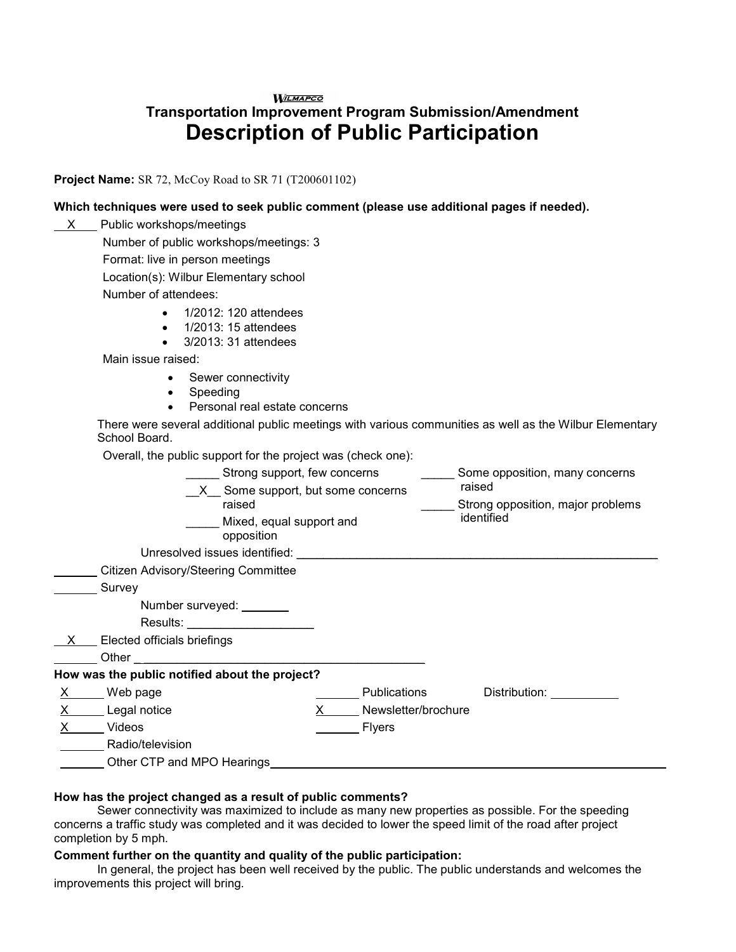## **WILMAPCO Transportation Improvement Program Submission/Amendment Description of Public Participation**

**Project Name:** SR 72, McCoy Road to SR 71 (T200601102)

#### **Which techniques were used to seek public comment (please use additional pages if needed).**

| X  | Public workshops/meetings                                                                                                                                                                                                      |                                                 |  |  |  |  |  |  |  |  |  |
|----|--------------------------------------------------------------------------------------------------------------------------------------------------------------------------------------------------------------------------------|-------------------------------------------------|--|--|--|--|--|--|--|--|--|
|    | Number of public workshops/meetings: 3                                                                                                                                                                                         |                                                 |  |  |  |  |  |  |  |  |  |
|    | Format: live in person meetings                                                                                                                                                                                                |                                                 |  |  |  |  |  |  |  |  |  |
|    | Location(s): Wilbur Elementary school                                                                                                                                                                                          |                                                 |  |  |  |  |  |  |  |  |  |
|    | Number of attendees:                                                                                                                                                                                                           |                                                 |  |  |  |  |  |  |  |  |  |
|    | 1/2012: 120 attendees<br>1/2013: 15 attendees<br>$\bullet$<br>3/2013: 31 attendees                                                                                                                                             |                                                 |  |  |  |  |  |  |  |  |  |
|    | Main issue raised:                                                                                                                                                                                                             |                                                 |  |  |  |  |  |  |  |  |  |
|    | Sewer connectivity<br>$\bullet$<br>Speeding<br>$\bullet$<br>Personal real estate concerns<br>There were several additional public meetings with various communities as well as the Wilbur Elementary                           |                                                 |  |  |  |  |  |  |  |  |  |
|    | School Board.                                                                                                                                                                                                                  |                                                 |  |  |  |  |  |  |  |  |  |
|    | Overall, the public support for the project was (check one):                                                                                                                                                                   |                                                 |  |  |  |  |  |  |  |  |  |
|    | _ Strong support, few concerns                                                                                                                                                                                                 | Some opposition, many concerns                  |  |  |  |  |  |  |  |  |  |
|    | X Some support, but some concerns                                                                                                                                                                                              | raised                                          |  |  |  |  |  |  |  |  |  |
|    | raised                                                                                                                                                                                                                         | Strong opposition, major problems<br>identified |  |  |  |  |  |  |  |  |  |
|    | Mixed, equal support and<br>opposition                                                                                                                                                                                         |                                                 |  |  |  |  |  |  |  |  |  |
|    | Unresolved issues identified: Unresolved issues identified:                                                                                                                                                                    |                                                 |  |  |  |  |  |  |  |  |  |
|    | <b>Citizen Advisory/Steering Committee</b>                                                                                                                                                                                     |                                                 |  |  |  |  |  |  |  |  |  |
|    | Survey                                                                                                                                                                                                                         |                                                 |  |  |  |  |  |  |  |  |  |
|    | Number surveyed: ________                                                                                                                                                                                                      |                                                 |  |  |  |  |  |  |  |  |  |
|    | Results:                                                                                                                                                                                                                       |                                                 |  |  |  |  |  |  |  |  |  |
|    | $X$ Elected officials briefings                                                                                                                                                                                                |                                                 |  |  |  |  |  |  |  |  |  |
|    | Other the contract of the contract of the contract of the contract of the contract of the contract of the contract of the contract of the contract of the contract of the contract of the contract of the contract of the cont |                                                 |  |  |  |  |  |  |  |  |  |
|    | How was the public notified about the project?                                                                                                                                                                                 |                                                 |  |  |  |  |  |  |  |  |  |
|    | $X$ Web page                                                                                                                                                                                                                   | Publications<br>Distribution: Distribution:     |  |  |  |  |  |  |  |  |  |
| X. | Legal notice                                                                                                                                                                                                                   | $\mathsf{X}^-$<br>Newsletter/brochure           |  |  |  |  |  |  |  |  |  |
|    | Videos                                                                                                                                                                                                                         | Flyers                                          |  |  |  |  |  |  |  |  |  |
|    | Radio/television                                                                                                                                                                                                               |                                                 |  |  |  |  |  |  |  |  |  |
|    | Other CTP and MPO Hearings                                                                                                                                                                                                     |                                                 |  |  |  |  |  |  |  |  |  |

#### **How has the project changed as a result of public comments?**

Sewer connectivity was maximized to include as many new properties as possible. For the speeding concerns a traffic study was completed and it was decided to lower the speed limit of the road after project completion by 5 mph.

#### **Comment further on the quantity and quality of the public participation:**

In general, the project has been well received by the public. The public understands and welcomes the improvements this project will bring.